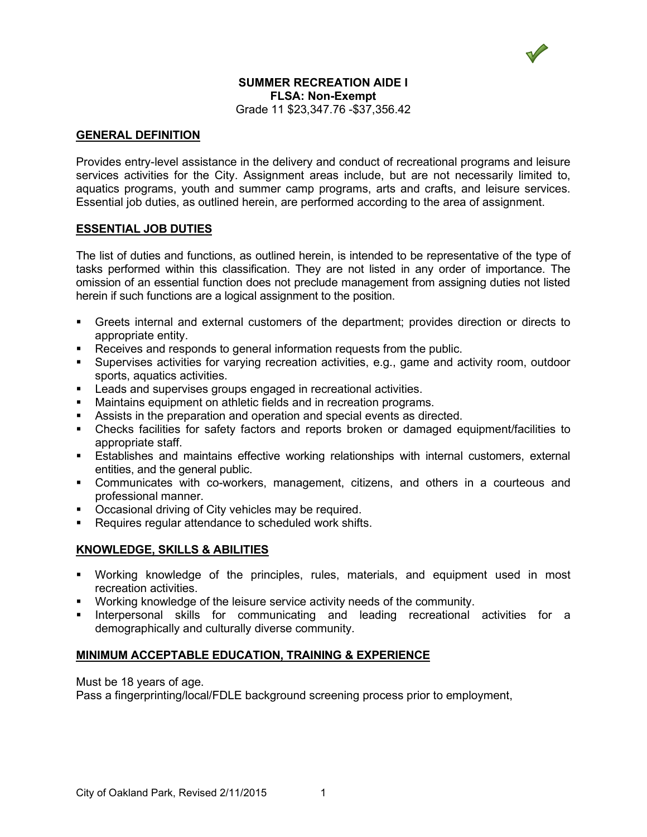

# **SUMMER RECREATION AIDE I FLSA: Non-Exempt** Grade 11 \$23,347.76 -\$37,356.42

## **GENERAL DEFINITION**

Provides entry-level assistance in the delivery and conduct of recreational programs and leisure services activities for the City. Assignment areas include, but are not necessarily limited to, aquatics programs, youth and summer camp programs, arts and crafts, and leisure services. Essential job duties, as outlined herein, are performed according to the area of assignment.

#### **ESSENTIAL JOB DUTIES**

The list of duties and functions, as outlined herein, is intended to be representative of the type of tasks performed within this classification. They are not listed in any order of importance. The omission of an essential function does not preclude management from assigning duties not listed herein if such functions are a logical assignment to the position.

- Greets internal and external customers of the department; provides direction or directs to appropriate entity.
- **Receives and responds to general information requests from the public.**
- Supervises activities for varying recreation activities, e.g., game and activity room, outdoor sports, aquatics activities.
- **Leads and supervises groups engaged in recreational activities.**
- Maintains equipment on athletic fields and in recreation programs.
- Assists in the preparation and operation and special events as directed.
- Checks facilities for safety factors and reports broken or damaged equipment/facilities to appropriate staff.
- Establishes and maintains effective working relationships with internal customers, external entities, and the general public.
- Communicates with co-workers, management, citizens, and others in a courteous and professional manner.
- **Occasional driving of City vehicles may be required.**
- **Requires regular attendance to scheduled work shifts.**

# **KNOWLEDGE, SKILLS & ABILITIES**

- Working knowledge of the principles, rules, materials, and equipment used in most recreation activities.
- Working knowledge of the leisure service activity needs of the community.
- **Interpersonal skills for communicating and leading recreational activities for a** demographically and culturally diverse community.

#### **MINIMUM ACCEPTABLE EDUCATION, TRAINING & EXPERIENCE**

Must be 18 years of age.

Pass a fingerprinting/local/FDLE background screening process prior to employment,